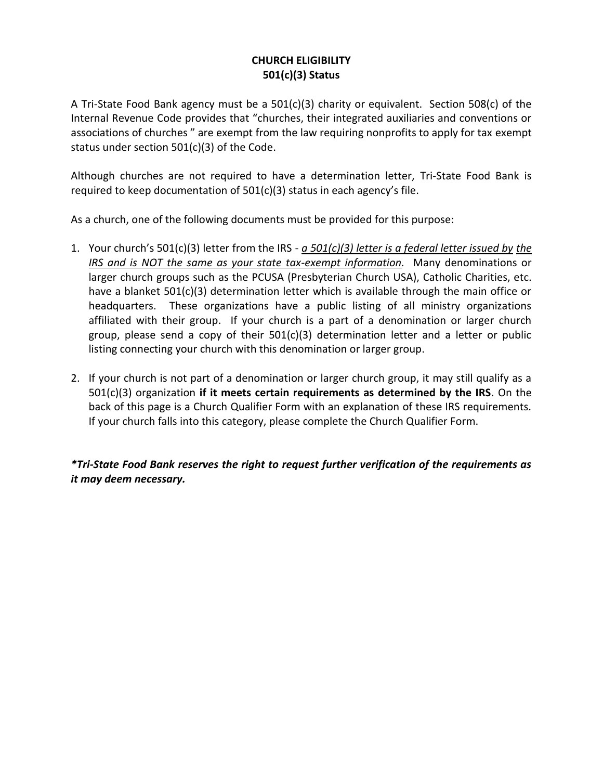## **CHURCH ELIGIBILITY 501(c)(3) Status**

A Tri-State Food Bank agency must be a 501(c)(3) charity or equivalent. Section 508(c) of the Internal Revenue Code provides that "churches, their integrated auxiliaries and conventions or associations of churches " are exempt from the law requiring nonprofits to apply for tax exempt status under section 501(c)(3) of the Code.

Although churches are not required to have a determination letter, Tri-State Food Bank is required to keep documentation of 501(c)(3) status in each agency's file.

As a church, one of the following documents must be provided for this purpose:

- 1. Your church's 501(c)(3) letter from the IRS *a 501(c)(3) letter is a federal letter issued by the IRS and is NOT the same as your state tax-exempt information.* Many denominations or larger church groups such as the PCUSA (Presbyterian Church USA), Catholic Charities, etc. have a blanket 501(c)(3) determination letter which is available through the main office or headquarters. These organizations have a public listing of all ministry organizations affiliated with their group. If your church is a part of a denomination or larger church group, please send a copy of their 501(c)(3) determination letter and a letter or public listing connecting your church with this denomination or larger group.
- 2. If your church is not part of a denomination or larger church group, it may still qualify as a 501(c)(3) organization **if it meets certain requirements as determined by the IRS**. On the back of this page is a Church Qualifier Form with an explanation of these IRS requirements. If your church falls into this category, please complete the Church Qualifier Form.

*\*Tri-State Food Bank reserves the right to request further verification of the requirements as it may deem necessary.*